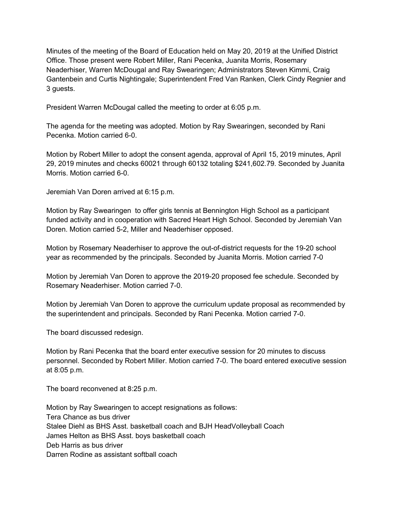Minutes of the meeting of the Board of Education held on May 20, 2019 at the Unified District Office. Those present were Robert Miller, Rani Pecenka, Juanita Morris, Rosemary Neaderhiser, Warren McDougal and Ray Swearingen; Administrators Steven Kimmi, Craig Gantenbein and Curtis Nightingale; Superintendent Fred Van Ranken, Clerk Cindy Regnier and 3 guests.

President Warren McDougal called the meeting to order at 6:05 p.m.

The agenda for the meeting was adopted. Motion by Ray Swearingen, seconded by Rani Pecenka. Motion carried 6-0.

Motion by Robert Miller to adopt the consent agenda, approval of April 15, 2019 minutes, April 29, 2019 minutes and checks 60021 through 60132 totaling \$241,602.79. Seconded by Juanita Morris. Motion carried 6-0.

Jeremiah Van Doren arrived at 6:15 p.m.

Motion by Ray Swearingen to offer girls tennis at Bennington High School as a participant funded activity and in cooperation with Sacred Heart High School. Seconded by Jeremiah Van Doren. Motion carried 5-2, Miller and Neaderhiser opposed.

Motion by Rosemary Neaderhiser to approve the out-of-district requests for the 19-20 school year as recommended by the principals. Seconded by Juanita Morris. Motion carried 7-0

Motion by Jeremiah Van Doren to approve the 2019-20 proposed fee schedule. Seconded by Rosemary Neaderhiser. Motion carried 7-0.

Motion by Jeremiah Van Doren to approve the curriculum update proposal as recommended by the superintendent and principals. Seconded by Rani Pecenka. Motion carried 7-0.

The board discussed redesign.

Motion by Rani Pecenka that the board enter executive session for 20 minutes to discuss personnel. Seconded by Robert Miller. Motion carried 7-0. The board entered executive session at 8:05 p.m.

The board reconvened at 8:25 p.m.

Motion by Ray Swearingen to accept resignations as follows: Tera Chance as bus driver Stalee Diehl as BHS Asst. basketball coach and BJH HeadVolleyball Coach James Helton as BHS Asst. boys basketball coach Deb Harris as bus driver Darren Rodine as assistant softball coach